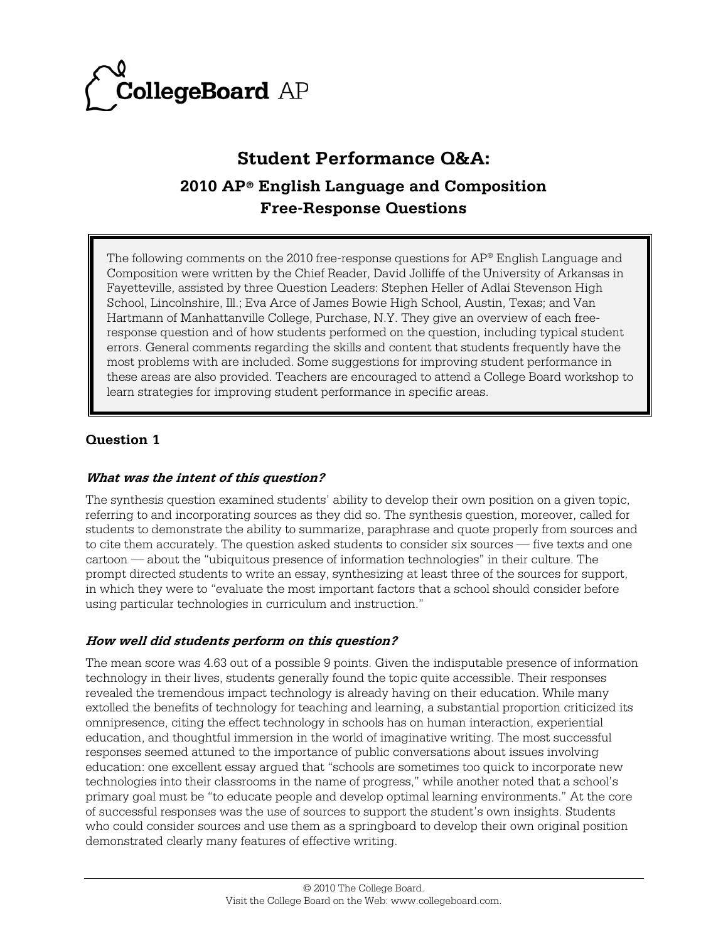

# **Student Performance Q&A: 2010 AP® English Language and Composition Free-Response Questions**

The following comments on the 2010 free-response questions for  $AP^{\circ}$  English Language and Composition were written by the Chief Reader, David Jolliffe of the University of Arkansas in Fayetteville, assisted by three Question Leaders: Stephen Heller of Adlai Stevenson High School, Lincolnshire, Ill.; Eva Arce of James Bowie High School, Austin, Texas; and Van Hartmann of Manhattanville College, Purchase, N.Y. They give an overview of each freeresponse question and of how students performed on the question, including typical student errors. General comments regarding the skills and content that students frequently have the most problems with are included. Some suggestions for improving student performance in these areas are also provided. Teachers are encouraged to attend a College Board workshop to learn strategies for improving student performance in specific areas.

# **Question 1**

#### **What was the intent of this question?**

The synthesis question examined students' ability to develop their own position on a given topic, referring to and incorporating sources as they did so. The synthesis question, moreover, called for students to demonstrate the ability to summarize, paraphrase and quote properly from sources and to cite them accurately. The question asked students to consider six sources — five texts and one cartoon — about the "ubiquitous presence of information technologies" in their culture. The prompt directed students to write an essay, synthesizing at least three of the sources for support, in which they were to "evaluate the most important factors that a school should consider before using particular technologies in curriculum and instruction."

#### **How well did students perform on this question?**

The mean score was 4.63 out of a possible 9 points. Given the indisputable presence of information technology in their lives, students generally found the topic quite accessible. Their responses revealed the tremendous impact technology is already having on their education. While many extolled the benefits of technology for teaching and learning, a substantial proportion criticized its omnipresence, citing the effect technology in schools has on human interaction, experiential education, and thoughtful immersion in the world of imaginative writing. The most successful responses seemed attuned to the importance of public conversations about issues involving education: one excellent essay argued that "schools are sometimes too quick to incorporate new technologies into their classrooms in the name of progress," while another noted that a school's primary goal must be "to educate people and develop optimal learning environments." At the core of successful responses was the use of sources to support the student's own insights. Students who could consider sources and use them as a springboard to develop their own original position demonstrated clearly many features of effective writing.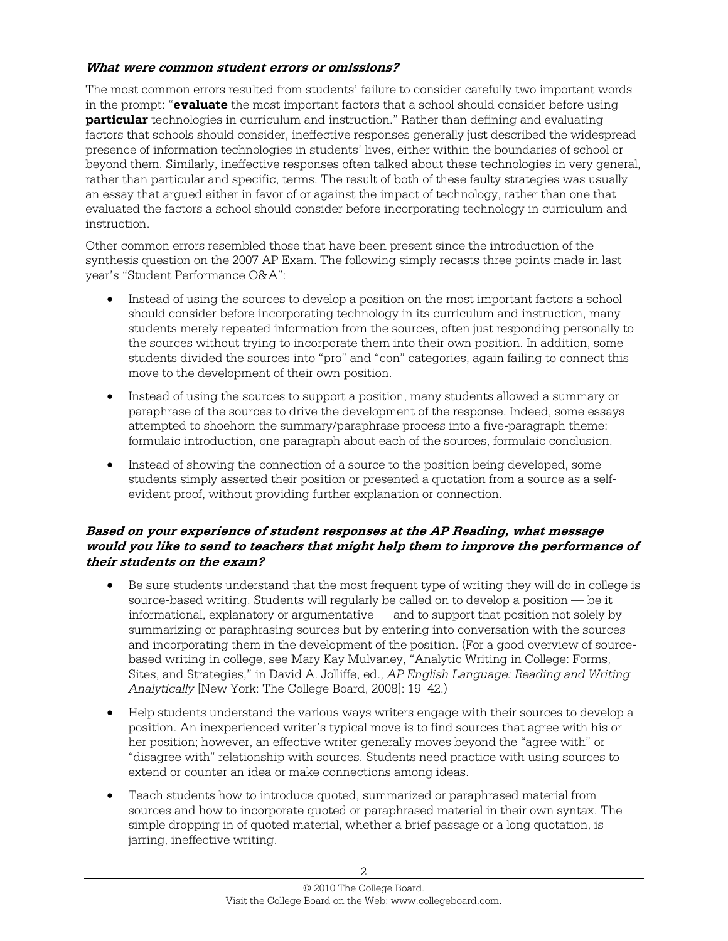#### **What were common student errors or omissions?**

The most common errors resulted from students' failure to consider carefully two important words in the prompt: "**evaluate** the most important factors that a school should consider before using **particular** technologies in curriculum and instruction." Rather than defining and evaluating factors that schools should consider, ineffective responses generally just described the widespread presence of information technologies in students' lives, either within the boundaries of school or beyond them. Similarly, ineffective responses often talked about these technologies in very general, rather than particular and specific, terms. The result of both of these faulty strategies was usually an essay that argued either in favor of or against the impact of technology, rather than one that evaluated the factors a school should consider before incorporating technology in curriculum and instruction.

Other common errors resembled those that have been present since the introduction of the synthesis question on the 2007 AP Exam. The following simply recasts three points made in last year's "Student Performance Q&A":

- Instead of using the sources to develop a position on the most important factors a school should consider before incorporating technology in its curriculum and instruction, many students merely repeated information from the sources, often just responding personally to the sources without trying to incorporate them into their own position. In addition, some students divided the sources into "pro" and "con" categories, again failing to connect this move to the development of their own position.
- Instead of using the sources to support a position, many students allowed a summary or paraphrase of the sources to drive the development of the response. Indeed, some essays attempted to shoehorn the summary/paraphrase process into a five-paragraph theme: formulaic introduction, one paragraph about each of the sources, formulaic conclusion.
- Instead of showing the connection of a source to the position being developed, some students simply asserted their position or presented a quotation from a source as a selfevident proof, without providing further explanation or connection.

#### **Based on your experience of student responses at the AP Reading, what message would you like to send to teachers that might help them to improve the performance of their students on the exam?**

- Be sure students understand that the most frequent type of writing they will do in college is source-based writing. Students will regularly be called on to develop a position — be it informational, explanatory or argumentative — and to support that position not solely by summarizing or paraphrasing sources but by entering into conversation with the sources and incorporating them in the development of the position. (For a good overview of sourcebased writing in college, see Mary Kay Mulvaney, "Analytic Writing in College: Forms, Sites, and Strategies," in David A. Jolliffe, ed., *AP English Language: Reading and Writing Analytically* [New York: The College Board, 2008]: 19–42.)
- Help students understand the various ways writers engage with their sources to develop a position. An inexperienced writer's typical move is to find sources that agree with his or her position; however, an effective writer generally moves beyond the "agree with" or "disagree with" relationship with sources. Students need practice with using sources to extend or counter an idea or make connections among ideas.
- Teach students how to introduce quoted, summarized or paraphrased material from sources and how to incorporate quoted or paraphrased material in their own syntax. The simple dropping in of quoted material, whether a brief passage or a long quotation, is jarring, ineffective writing.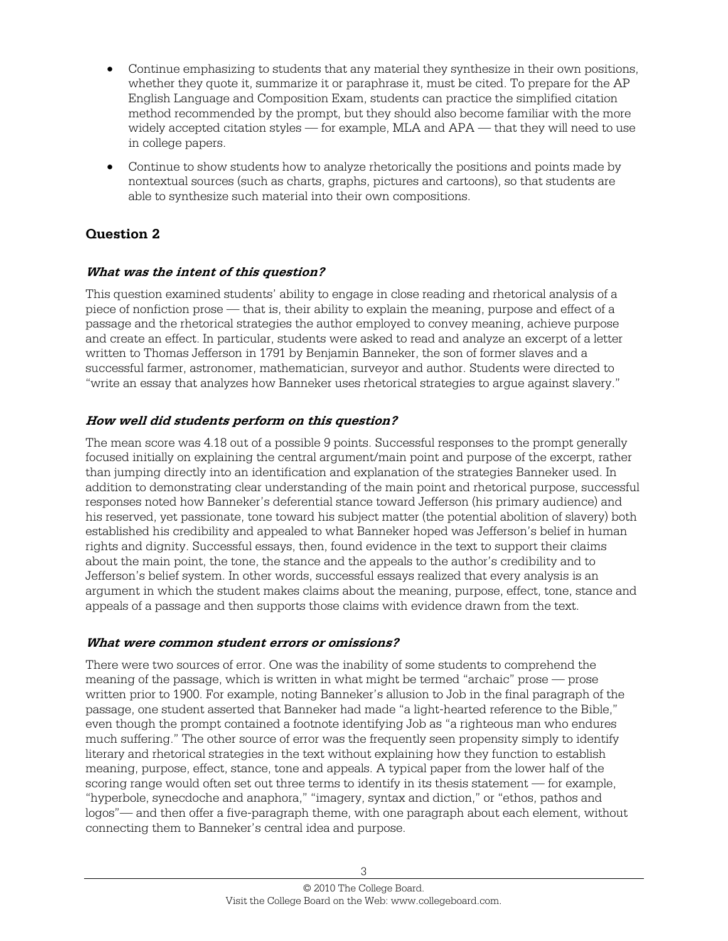- Continue emphasizing to students that any material they synthesize in their own positions, whether they quote it, summarize it or paraphrase it, must be cited. To prepare for the AP English Language and Composition Exam, students can practice the simplified citation method recommended by the prompt, but they should also become familiar with the more widely accepted citation styles — for example, MLA and APA — that they will need to use in college papers.
- Continue to show students how to analyze rhetorically the positions and points made by nontextual sources (such as charts, graphs, pictures and cartoons), so that students are able to synthesize such material into their own compositions.

# **Question 2**

## **What was the intent of this question?**

This question examined students' ability to engage in close reading and rhetorical analysis of a piece of nonfiction prose — that is, their ability to explain the meaning, purpose and effect of a passage and the rhetorical strategies the author employed to convey meaning, achieve purpose and create an effect. In particular, students were asked to read and analyze an excerpt of a letter written to Thomas Jefferson in 1791 by Benjamin Banneker, the son of former slaves and a successful farmer, astronomer, mathematician, surveyor and author. Students were directed to "write an essay that analyzes how Banneker uses rhetorical strategies to argue against slavery."

## **How well did students perform on this question?**

The mean score was 4.18 out of a possible 9 points. Successful responses to the prompt generally focused initially on explaining the central argument/main point and purpose of the excerpt, rather than jumping directly into an identification and explanation of the strategies Banneker used. In addition to demonstrating clear understanding of the main point and rhetorical purpose, successful responses noted how Banneker's deferential stance toward Jefferson (his primary audience) and his reserved, yet passionate, tone toward his subject matter (the potential abolition of slavery) both established his credibility and appealed to what Banneker hoped was Jefferson's belief in human rights and dignity. Successful essays, then, found evidence in the text to support their claims about the main point, the tone, the stance and the appeals to the author's credibility and to Jefferson's belief system. In other words, successful essays realized that every analysis is an argument in which the student makes claims about the meaning, purpose, effect, tone, stance and appeals of a passage and then supports those claims with evidence drawn from the text.

#### **What were common student errors or omissions?**

There were two sources of error. One was the inability of some students to comprehend the meaning of the passage, which is written in what might be termed "archaic" prose — prose written prior to 1900. For example, noting Banneker's allusion to Job in the final paragraph of the passage, one student asserted that Banneker had made "a light-hearted reference to the Bible," even though the prompt contained a footnote identifying Job as "a righteous man who endures much suffering." The other source of error was the frequently seen propensity simply to identify literary and rhetorical strategies in the text without explaining how they function to establish meaning, purpose, effect, stance, tone and appeals. A typical paper from the lower half of the scoring range would often set out three terms to identify in its thesis statement — for example, "hyperbole, synecdoche and anaphora," "imagery, syntax and diction," or "ethos, pathos and logos"— and then offer a five-paragraph theme, with one paragraph about each element, without connecting them to Banneker's central idea and purpose.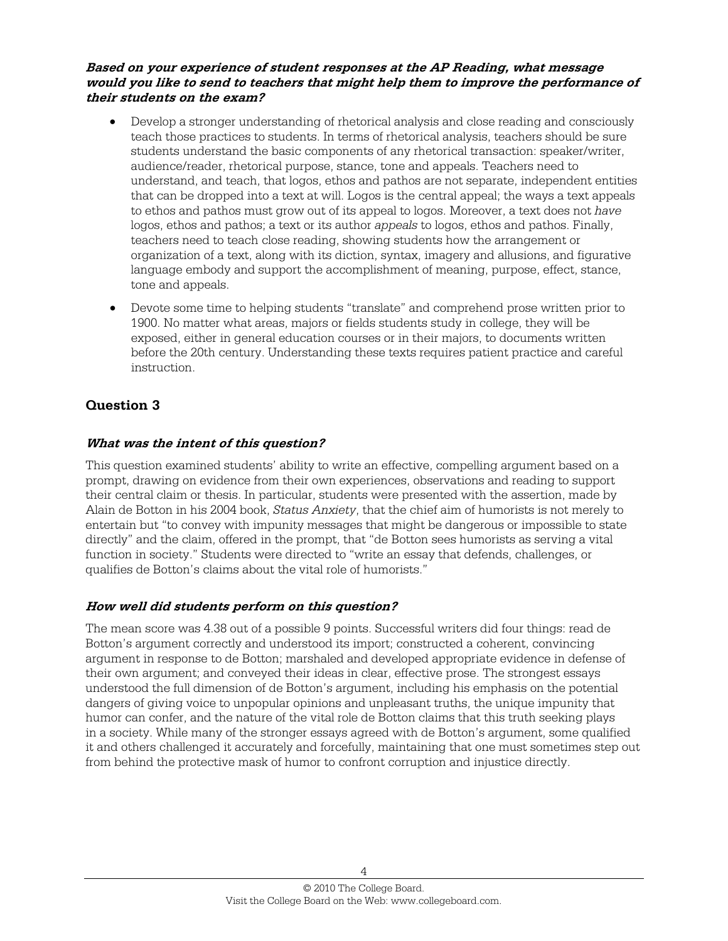#### **Based on your experience of student responses at the AP Reading, what message would you like to send to teachers that might help them to improve the performance of their students on the exam?**

- Develop a stronger understanding of rhetorical analysis and close reading and consciously teach those practices to students. In terms of rhetorical analysis, teachers should be sure students understand the basic components of any rhetorical transaction: speaker/writer, audience/reader, rhetorical purpose, stance, tone and appeals. Teachers need to understand, and teach, that logos, ethos and pathos are not separate, independent entities that can be dropped into a text at will. Logos is the central appeal; the ways a text appeals to ethos and pathos must grow out of its appeal to logos. Moreover, a text does not *have* logos, ethos and pathos; a text or its author *appeals* to logos, ethos and pathos. Finally, teachers need to teach close reading, showing students how the arrangement or organization of a text, along with its diction, syntax, imagery and allusions, and figurative language embody and support the accomplishment of meaning, purpose, effect, stance, tone and appeals.
- Devote some time to helping students "translate" and comprehend prose written prior to 1900. No matter what areas, majors or fields students study in college, they will be exposed, either in general education courses or in their majors, to documents written before the 20th century. Understanding these texts requires patient practice and careful instruction.

# **Question 3**

## **What was the intent of this question?**

This question examined students' ability to write an effective, compelling argument based on a prompt, drawing on evidence from their own experiences, observations and reading to support their central claim or thesis. In particular, students were presented with the assertion, made by Alain de Botton in his 2004 book, *Status Anxiety*, that the chief aim of humorists is not merely to entertain but "to convey with impunity messages that might be dangerous or impossible to state directly" and the claim, offered in the prompt, that "de Botton sees humorists as serving a vital function in society." Students were directed to "write an essay that defends, challenges, or qualifies de Botton's claims about the vital role of humorists."

# **How well did students perform on this question?**

The mean score was 4.38 out of a possible 9 points. Successful writers did four things: read de Botton's argument correctly and understood its import; constructed a coherent, convincing argument in response to de Botton; marshaled and developed appropriate evidence in defense of their own argument; and conveyed their ideas in clear, effective prose. The strongest essays understood the full dimension of de Botton's argument, including his emphasis on the potential dangers of giving voice to unpopular opinions and unpleasant truths, the unique impunity that humor can confer, and the nature of the vital role de Botton claims that this truth seeking plays in a society. While many of the stronger essays agreed with de Botton's argument, some qualified it and others challenged it accurately and forcefully, maintaining that one must sometimes step out from behind the protective mask of humor to confront corruption and injustice directly.